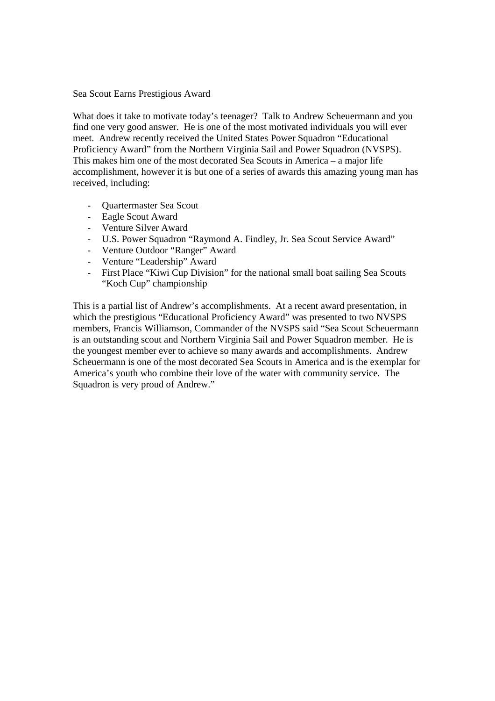Sea Scout Earns Prestigious Award

What does it take to motivate today's teenager? Talk to Andrew Scheuermann and you find one very good answer. He is one of the most motivated individuals you will ever meet. Andrew recently received the United States Power Squadron "Educational Proficiency Award" from the Northern Virginia Sail and Power Squadron (NVSPS). This makes him one of the most decorated Sea Scouts in America – a major life accomplishment, however it is but one of a series of awards this amazing young man has received, including:

- Quartermaster Sea Scout
- Eagle Scout Award
- Venture Silver Award
- U.S. Power Squadron "Raymond A. Findley, Jr. Sea Scout Service Award"
- Venture Outdoor "Ranger" Award
- Venture "Leadership" Award
- First Place "Kiwi Cup Division" for the national small boat sailing Sea Scouts "Koch Cup" championship

This is a partial list of Andrew's accomplishments. At a recent award presentation, in which the prestigious "Educational Proficiency Award" was presented to two NVSPS members, Francis Williamson, Commander of the NVSPS said "Sea Scout Scheuermann is an outstanding scout and Northern Virginia Sail and Power Squadron member. He is the youngest member ever to achieve so many awards and accomplishments. Andrew Scheuermann is one of the most decorated Sea Scouts in America and is the exemplar for America's youth who combine their love of the water with community service. The Squadron is very proud of Andrew."